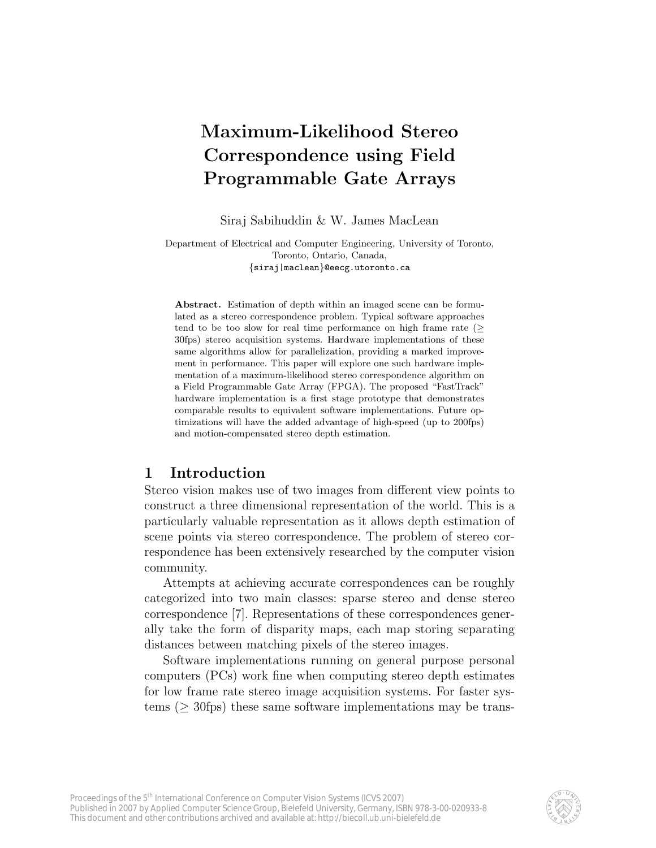# Maximum-Likelihood Stereo Correspondence using Field Programmable Gate Arrays

Siraj Sabihuddin & W. James MacLean

Department of Electrical and Computer Engineering, University of Toronto, Toronto, Ontario, Canada, {siraj|maclean}@eecg.utoronto.ca

Abstract. Estimation of depth within an imaged scene can be formulated as a stereo correspondence problem. Typical software approaches tend to be too slow for real time performance on high frame rate ( $\geq$ 30fps) stereo acquisition systems. Hardware implementations of these same algorithms allow for parallelization, providing a marked improvement in performance. This paper will explore one such hardware implementation of a maximum-likelihood stereo correspondence algorithm on a Field Programmable Gate Array (FPGA). The proposed "FastTrack" hardware implementation is a first stage prototype that demonstrates comparable results to equivalent software implementations. Future optimizations will have the added advantage of high-speed (up to 200fps) and motion-compensated stereo depth estimation.

# 1 Introduction

Stereo vision makes use of two images from different view points to construct a three dimensional representation of the world. This is a particularly valuable representation as it allows depth estimation of scene points via stereo correspondence. The problem of stereo correspondence has been extensively researched by the computer vision community.

Attempts at achieving accurate correspondences can be roughly categorized into two main classes: sparse stereo and dense stereo correspondence [7]. Representations of these correspondences generally take the form of disparity maps, each map storing separating distances between matching pixels of the stereo images.

Software implementations running on general purpose personal computers (PCs) work fine when computing stereo depth estimates for low frame rate stereo image acquisition systems. For faster systems ( $\geq$  30fps) these same software implementations may be trans-

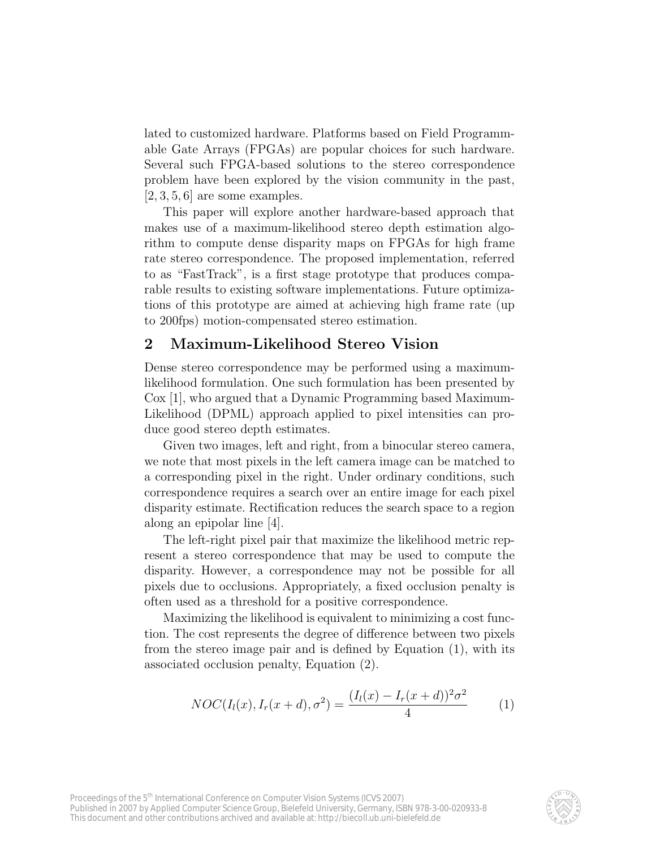lated to customized hardware. Platforms based on Field Programmable Gate Arrays (FPGAs) are popular choices for such hardware. Several such FPGA-based solutions to the stereo correspondence problem have been explored by the vision community in the past,  $[2, 3, 5, 6]$  are some examples.

This paper will explore another hardware-based approach that makes use of a maximum-likelihood stereo depth estimation algorithm to compute dense disparity maps on FPGAs for high frame rate stereo correspondence. The proposed implementation, referred to as "FastTrack", is a first stage prototype that produces comparable results to existing software implementations. Future optimizations of this prototype are aimed at achieving high frame rate (up to 200fps) motion-compensated stereo estimation.

## 2 Maximum-Likelihood Stereo Vision

Dense stereo correspondence may be performed using a maximumlikelihood formulation. One such formulation has been presented by Cox [1], who argued that a Dynamic Programming based Maximum-Likelihood (DPML) approach applied to pixel intensities can produce good stereo depth estimates.

Given two images, left and right, from a binocular stereo camera, we note that most pixels in the left camera image can be matched to a corresponding pixel in the right. Under ordinary conditions, such correspondence requires a search over an entire image for each pixel disparity estimate. Rectification reduces the search space to a region along an epipolar line [4].

The left-right pixel pair that maximize the likelihood metric represent a stereo correspondence that may be used to compute the disparity. However, a correspondence may not be possible for all pixels due to occlusions. Appropriately, a fixed occlusion penalty is often used as a threshold for a positive correspondence.

Maximizing the likelihood is equivalent to minimizing a cost function. The cost represents the degree of difference between two pixels from the stereo image pair and is defined by Equation (1), with its associated occlusion penalty, Equation (2).

$$
NOC(I_l(x), I_r(x+d), \sigma^2) = \frac{(I_l(x) - I_r(x+d))^2 \sigma^2}{4}
$$
 (1)

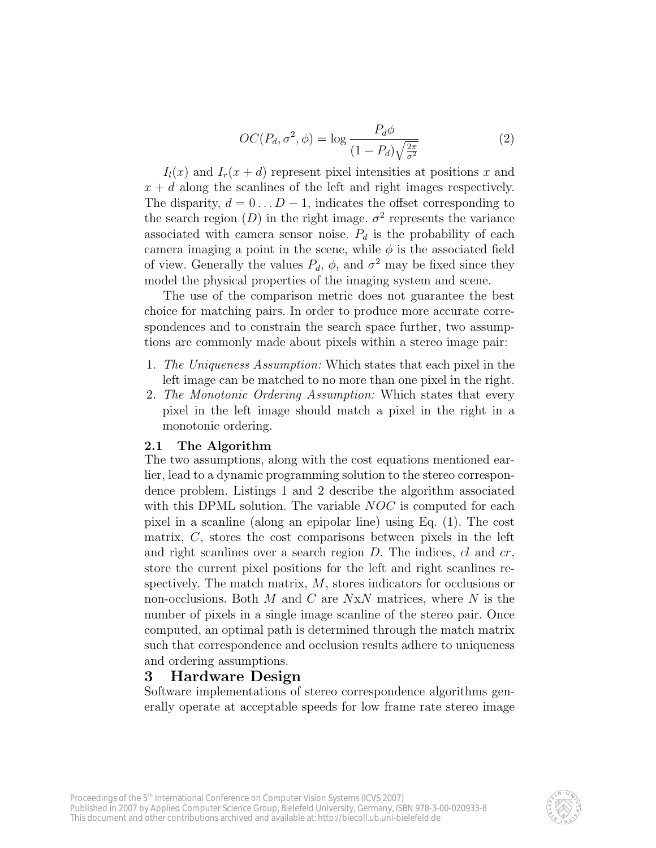$$
OC(P_d, \sigma^2, \phi) = \log \frac{P_d \phi}{(1 - P_d) \sqrt{\frac{2\pi}{\sigma^2}}} \tag{2}
$$

 $I_l(x)$  and  $I_r(x+d)$  represent pixel intensities at positions x and  $x + d$  along the scanlines of the left and right images respectively. The disparity,  $d = 0 \dots D - 1$ , indicates the offset corresponding to the search region  $(D)$  in the right image.  $\sigma^2$  represents the variance associated with camera sensor noise.  $P_d$  is the probability of each camera imaging a point in the scene, while  $\phi$  is the associated field of view. Generally the values  $P_d$ ,  $\phi$ , and  $\sigma^2$  may be fixed since they model the physical properties of the imaging system and scene.

The use of the comparison metric does not guarantee the best choice for matching pairs. In order to produce more accurate correspondences and to constrain the search space further, two assumptions are commonly made about pixels within a stereo image pair:

- 1. The Uniqueness Assumption: Which states that each pixel in the left image can be matched to no more than one pixel in the right.
- 2. The Monotonic Ordering Assumption: Which states that every pixel in the left image should match a pixel in the right in a monotonic ordering.

#### 2.1 The Algorithm

The two assumptions, along with the cost equations mentioned earlier, lead to a dynamic programming solution to the stereo correspondence problem. Listings 1 and 2 describe the algorithm associated with this DPML solution. The variable *NOC* is computed for each pixel in a scanline (along an epipolar line) using Eq. (1). The cost matrix, C, stores the cost comparisons between pixels in the left and right scanlines over a search region  $D$ . The indices,  $cl$  and  $cr$ , store the current pixel positions for the left and right scanlines respectively. The match matrix, M, stores indicators for occlusions or non-occlusions. Both  $M$  and  $C$  are  $N \times N$  matrices, where  $N$  is the number of pixels in a single image scanline of the stereo pair. Once computed, an optimal path is determined through the match matrix such that correspondence and occlusion results adhere to uniqueness and ordering assumptions.

## 3 Hardware Design

Software implementations of stereo correspondence algorithms generally operate at acceptable speeds for low frame rate stereo image

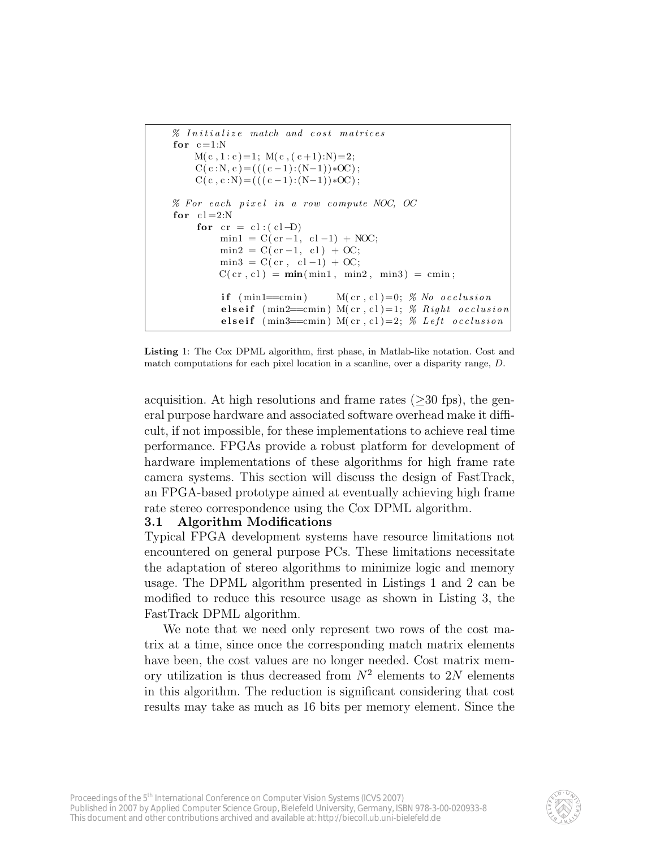```
\% Initialize match and cost matrices
for c = 1:NM(c, 1 : c) = 1; M(c, (c+1):N) = 2;C(c : N, c) = (((c - 1):(N-1))*OC);C(c, c:N)=(((c-1):(N-1))*OC);% For each pixel in a row compute NOC, OC
for cl = 2:Nfor cr = cl : ( cl -D )min1 = C(c r - 1, c l - 1) + NOC;min2 = C(c r - 1, c 1) + OC;min3 = C(c \rvert c1 - 1) + OC;C(\text{cr }, cl ) = \min(\min1, \min2, \min3) = \text{cmin};if (\min1=cmin) M(cr, c1)=0; \% No occlusion
         elseif (min2=cmin) M(cr, cl)=1; % Right occlusion
         elseif (min3=cmin) M(cr, cl)=2; % Left occlusion
```
Listing 1: The Cox DPML algorithm, first phase, in Matlab-like notation. Cost and match computations for each pixel location in a scanline, over a disparity range, D.

acquisition. At high resolutions and frame rates  $(\geq 30$  fps), the general purpose hardware and associated software overhead make it difficult, if not impossible, for these implementations to achieve real time performance. FPGAs provide a robust platform for development of hardware implementations of these algorithms for high frame rate camera systems. This section will discuss the design of FastTrack, an FPGA-based prototype aimed at eventually achieving high frame rate stereo correspondence using the Cox DPML algorithm.

#### 3.1 Algorithm Modifications

Typical FPGA development systems have resource limitations not encountered on general purpose PCs. These limitations necessitate the adaptation of stereo algorithms to minimize logic and memory usage. The DPML algorithm presented in Listings 1 and 2 can be modified to reduce this resource usage as shown in Listing 3, the FastTrack DPML algorithm.

We note that we need only represent two rows of the cost matrix at a time, since once the corresponding match matrix elements have been, the cost values are no longer needed. Cost matrix memory utilization is thus decreased from  $N^2$  elements to 2N elements in this algorithm. The reduction is significant considering that cost results may take as much as 16 bits per memory element. Since the

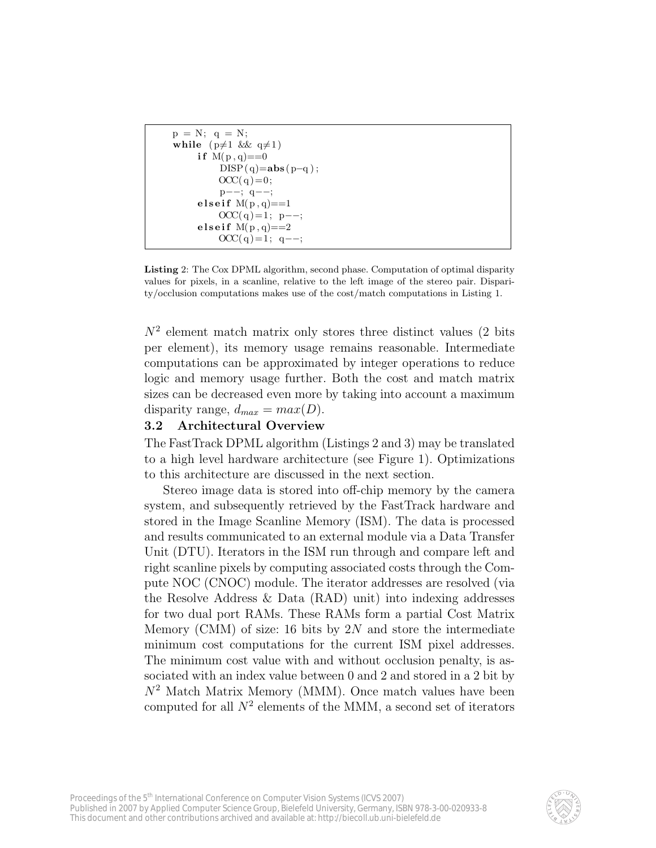```
p = N; q = N;
while (p \neq 1 & q \neq 1)
    if M(p, q) == 0DISP(q)=abs(p-q);
         OCC(q) = 0;p−−; q−−;
    e l seif M(p, q) = 1OCC(q) = 1; p--;elseif M(p, q) = 2OCC(q) = 1; q --;
```
Listing 2: The Cox DPML algorithm, second phase. Computation of optimal disparity values for pixels, in a scanline, relative to the left image of the stereo pair. Disparity/occlusion computations makes use of the cost/match computations in Listing 1.

 $N^2$  element match matrix only stores three distinct values (2 bits per element), its memory usage remains reasonable. Intermediate computations can be approximated by integer operations to reduce logic and memory usage further. Both the cost and match matrix sizes can be decreased even more by taking into account a maximum disparity range,  $d_{max} = max(D)$ .

## 3.2 Architectural Overview

The FastTrack DPML algorithm (Listings 2 and 3) may be translated to a high level hardware architecture (see Figure 1). Optimizations to this architecture are discussed in the next section.

Stereo image data is stored into off-chip memory by the camera system, and subsequently retrieved by the FastTrack hardware and stored in the Image Scanline Memory (ISM). The data is processed and results communicated to an external module via a Data Transfer Unit (DTU). Iterators in the ISM run through and compare left and right scanline pixels by computing associated costs through the Compute NOC (CNOC) module. The iterator addresses are resolved (via the Resolve Address & Data (RAD) unit) into indexing addresses for two dual port RAMs. These RAMs form a partial Cost Matrix Memory (CMM) of size: 16 bits by  $2N$  and store the intermediate minimum cost computations for the current ISM pixel addresses. The minimum cost value with and without occlusion penalty, is associated with an index value between 0 and 2 and stored in a 2 bit by  $N^2$  Match Matrix Memory (MMM). Once match values have been computed for all  $N^2$  elements of the MMM, a second set of iterators

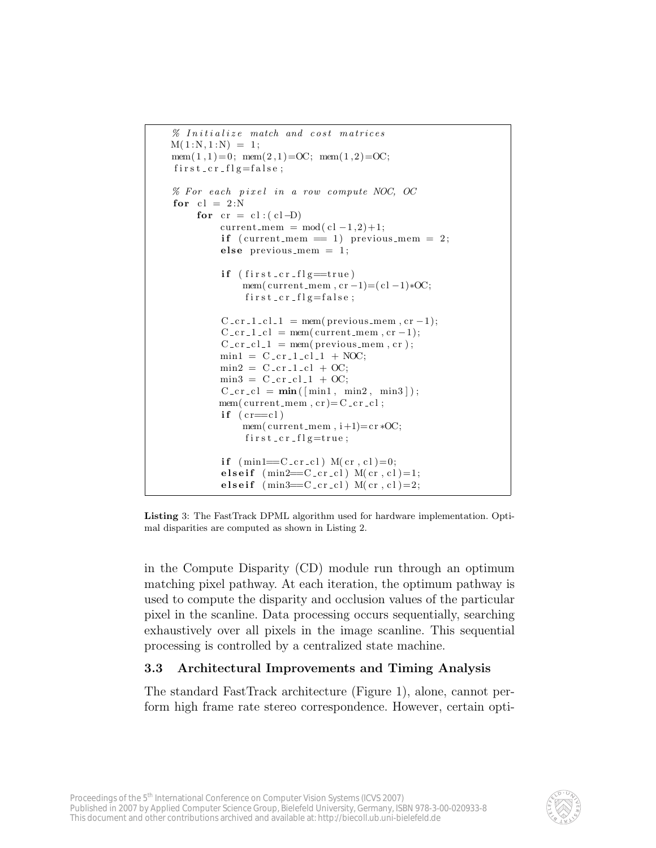```
\% Initialize match and cost matrices
M(1:N, 1:N) = 1;
mem(1, 1) = 0; mem(2, 1) = OC; mem(1, 2) = OC;
first_c cr_flg = false;% For each pixel in a row compute NOC, OC
for cl = 2:Nfor cr = cl : ( cl -D )current_mem = mod(cl-1,2)+1;if (current_mem = 1) previous_mem = 2;
          else previous mem = 1;
          if (first_ccr_f1g=true)
              mem( current_mem, cr -1)=(cl -1)*OC;
               first\_cr\_flg= false;C_c cr_1_c l_1 = \text{mem}(\text{previous} \dots \text{mem}), cr-1);C_c cr_1_c l = \text{mem} (current\_mem, cr - 1);C_c cr_c l_1 = \text{mem}(\text{previous\_mem}, cr);min1 = C_c cr_1_c l_1 + NOC;min2 = C_c cr_1_c l + OC;min3 = C_c cr_c l_1 + OC;C_c cr_c l = \min(\lceil \min_1, \min_2, \min_3 \rceil);mem(current_{mem}, cr)=C_{-}cr_{-}cl;
          if (c = c]mem(current_mean, i+1)=cr *OC;first\_cr\_flg=true;if (\text{min1}=-C_{-}cr_{-}cl) M(c\,r_{,}cl)=0;elseif (min2=CC_c r_c l) M(c r, c l)=1;elseif (min3=CC_c r_c l) M(c r, c l) = 2;
```


in the Compute Disparity (CD) module run through an optimum matching pixel pathway. At each iteration, the optimum pathway is used to compute the disparity and occlusion values of the particular pixel in the scanline. Data processing occurs sequentially, searching exhaustively over all pixels in the image scanline. This sequential processing is controlled by a centralized state machine.

## 3.3 Architectural Improvements and Timing Analysis

The standard FastTrack architecture (Figure 1), alone, cannot perform high frame rate stereo correspondence. However, certain opti-

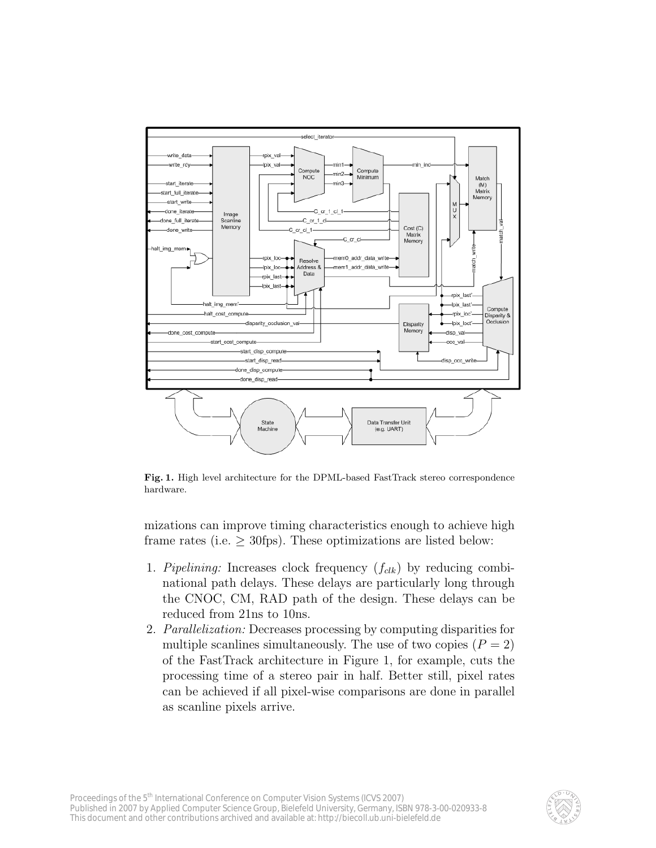

Fig. 1. High level architecture for the DPML-based FastTrack stereo correspondence hardware.

mizations can improve timing characteristics enough to achieve high frame rates (i.e.  $\geq$  30fps). These optimizations are listed below:

- 1. Pipelining: Increases clock frequency  $(f_{clk})$  by reducing combinational path delays. These delays are particularly long through the CNOC, CM, RAD path of the design. These delays can be reduced from 21ns to 10ns.
- 2. Parallelization: Decreases processing by computing disparities for multiple scanlines simultaneously. The use of two copies  $(P = 2)$ of the FastTrack architecture in Figure 1, for example, cuts the processing time of a stereo pair in half. Better still, pixel rates can be achieved if all pixel-wise comparisons are done in parallel as scanline pixels arrive.

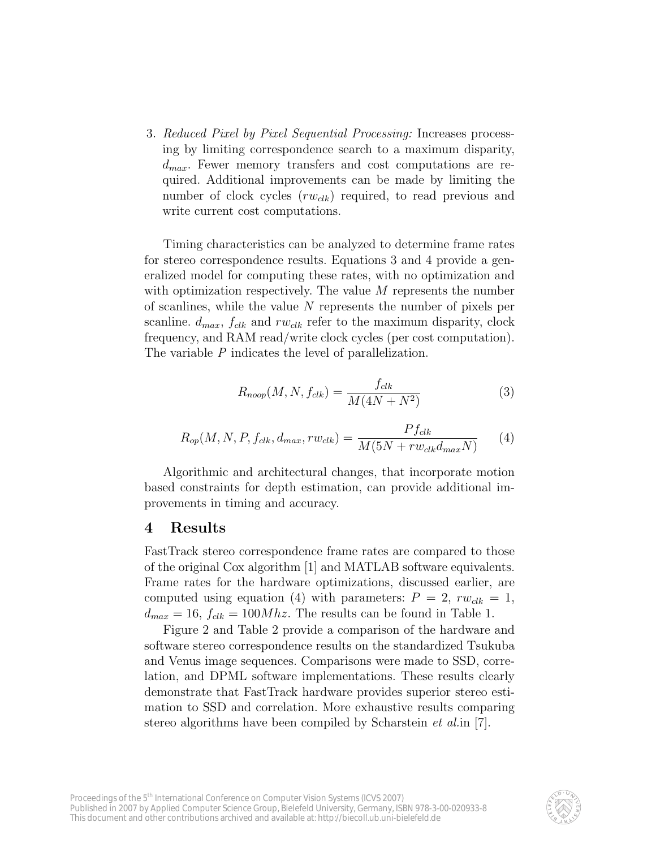3. Reduced Pixel by Pixel Sequential Processing: Increases processing by limiting correspondence search to a maximum disparity,  $d_{max}$ . Fewer memory transfers and cost computations are required. Additional improvements can be made by limiting the number of clock cycles  $(rw_{dk})$  required, to read previous and write current cost computations.

Timing characteristics can be analyzed to determine frame rates for stereo correspondence results. Equations 3 and 4 provide a generalized model for computing these rates, with no optimization and with optimization respectively. The value M represents the number of scanlines, while the value N represents the number of pixels per scanline.  $d_{max}$ ,  $f_{clk}$  and  $rw_{clk}$  refer to the maximum disparity, clock frequency, and RAM read/write clock cycles (per cost computation). The variable P indicates the level of parallelization.

$$
R_{noop}(M, N, f_{clk}) = \frac{f_{clk}}{M(4N + N^2)}
$$
\n(3)

$$
R_{op}(M, N, P, f_{clk}, d_{max}, rw_{clk}) = \frac{Pf_{clk}}{M(5N + rw_{clk}d_{max}N)}
$$
(4)

Algorithmic and architectural changes, that incorporate motion based constraints for depth estimation, can provide additional improvements in timing and accuracy.

## 4 Results

FastTrack stereo correspondence frame rates are compared to those of the original Cox algorithm [1] and MATLAB software equivalents. Frame rates for the hardware optimizations, discussed earlier, are computed using equation (4) with parameters:  $P = 2$ ,  $rw_{clk} = 1$ ,  $d_{max} = 16$ ,  $f_{clk} = 100Mhz$ . The results can be found in Table 1.

Figure 2 and Table 2 provide a comparison of the hardware and software stereo correspondence results on the standardized Tsukuba and Venus image sequences. Comparisons were made to SSD, correlation, and DPML software implementations. These results clearly demonstrate that FastTrack hardware provides superior stereo estimation to SSD and correlation. More exhaustive results comparing stereo algorithms have been compiled by Scharstein *et al.* in [7].

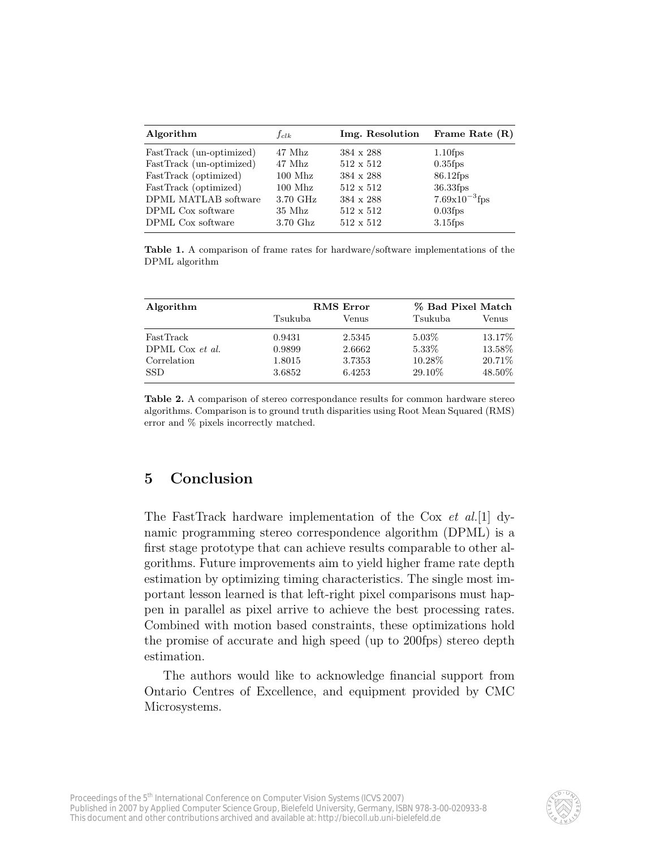| Algorithm                | $f_{clk}$ | Img. Resolution  | Frame Rate $(R)$   |
|--------------------------|-----------|------------------|--------------------|
| FastTrack (un-optimized) | 47 Mhz    | $384 \times 288$ | $1.10$ fps         |
| FastTrack (un-optimized) | 47 Mhz    | $512 \times 512$ | $0.35$ fps         |
| FastTrack (optimized)    | $100$ Mhz | 384 x 288        | 86.12fps           |
| FastTrack (optimized)    | $100$ Mhz | $512 \times 512$ | 36.33fps           |
| DPML MATLAB software     | 3.70 GHz  | 384 x 288        | $7.69x10^{-3}$ fps |
| DPML Cox software        | $35$ Mhz  | $512 \times 512$ | $0.03$ fps         |
| DPML Cox software        | 3.70 Ghz  | $512 \times 512$ | $3.15$ fps         |
|                          |           |                  |                    |

Table 1. A comparison of frame rates for hardware/software implementations of the DPML algorithm

| Algorithm         |         | <b>RMS</b> Error |          | % Bad Pixel Match |  |
|-------------------|---------|------------------|----------|-------------------|--|
|                   | Tsukuba | Venus            | Tsukuba  | Venus             |  |
| FastTrack         | 0.9431  | 2.5345           | $5.03\%$ | 13.17\%           |  |
| DPML Cox $et$ al. | 0.9899  | 2.6662           | 5.33\%   | 13.58%            |  |
| Correlation       | 1.8015  | 3.7353           | 10.28\%  | 20.71\%           |  |
| <b>SSD</b>        | 3.6852  | 6.4253           | 29.10\%  | 48.50%            |  |

Table 2. A comparison of stereo correspondance results for common hardware stereo algorithms. Comparison is to ground truth disparities using Root Mean Squared (RMS) error and % pixels incorrectly matched.

# 5 Conclusion

The FastTrack hardware implementation of the Cox et al.[1] dynamic programming stereo correspondence algorithm (DPML) is a first stage prototype that can achieve results comparable to other algorithms. Future improvements aim to yield higher frame rate depth estimation by optimizing timing characteristics. The single most important lesson learned is that left-right pixel comparisons must happen in parallel as pixel arrive to achieve the best processing rates. Combined with motion based constraints, these optimizations hold the promise of accurate and high speed (up to 200fps) stereo depth estimation.

The authors would like to acknowledge financial support from Ontario Centres of Excellence, and equipment provided by CMC Microsystems.